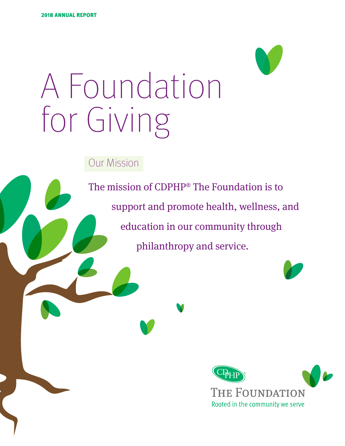

Our Mission

The mission of CDPHP® The Foundation is to support and promote health, wellness, and education in our community through philanthropy and service.

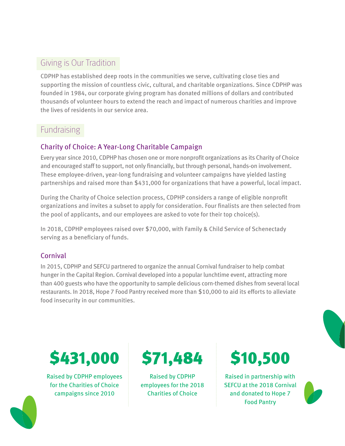# Giving is Our Tradition

CDPHP has established deep roots in the communities we serve, cultivating close ties and supporting the mission of countless civic, cultural, and charitable organizations. Since CDPHP was founded in 1984, our corporate giving program has donated millions of dollars and contributed thousands of volunteer hours to extend the reach and impact of numerous charities and improve the lives of residents in our service area.

# **Fundraising**

## Charity of Choice: A Year-Long Charitable Campaign

Every year since 2010, CDPHP has chosen one or more nonprofit organizations as its Charity of Choice and encouraged staff to support, not only financially, but through personal, hands-on involvement. These employee-driven, year-long fundraising and volunteer campaigns have yielded lasting partnerships and raised more than \$431,000 for organizations that have a powerful, local impact.

During the Charity of Choice selection process, CDPHP considers a range of eligible nonprofit organizations and invites a subset to apply for consideration. Four finalists are then selected from the pool of applicants, and our employees are asked to vote for their top choice(s).

In 2018, CDPHP employees raised over \$70,000, with Family & Child Service of Schenectady serving as a beneficiary of funds.

## Cornival

In 2015, CDPHP and SEFCU partnered to organize the annual Cornival fundraiser to help combat hunger in the Capital Region. Cornival developed into a popular lunchtime event, attracting more than 400 guests who have the opportunity to sample delicious corn-themed dishes from several local restaurants. In 2018, Hope 7 Food Pantry received more than \$10,000 to aid its efforts to alleviate food insecurity in our communities.



Raised by CDPHP employees for the Charities of Choice campaigns since 2010



Raised by CDPHP employees for the 2018 Charities of Choice

Raised in partnership with SEFCU at the 2018 Cornival and donated to Hope 7 Food Pantry



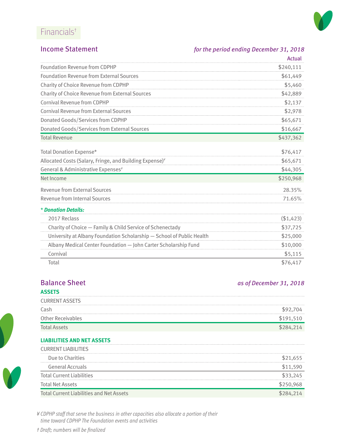# Financials†



### Income Statement *for the period ending December 31, 2018*

|                                                                       | Actual     |
|-----------------------------------------------------------------------|------------|
| <b>Foundation Revenue from CDPHP</b>                                  | \$240,111  |
| <b>Foundation Revenue from External Sources</b>                       | \$61,449   |
| Charity of Choice Revenue from CDPHP                                  | \$5,460    |
| <b>Charity of Choice Revenue from External Sources</b>                | \$42,889   |
| Cornival Revenue from CDPHP                                           | \$2,137    |
| <b>Cornival Revenue from External Sources</b>                         | \$2,978    |
| <b>Donated Goods/Services from CDPHP</b>                              | \$65,671   |
| Donated Goods/Services from External Sources                          | \$16,667   |
| <b>Total Revenue</b>                                                  | \$437,362  |
| Total Donation Expense*                                               | \$76,417   |
| Allocated Costs (Salary, Fringe, and Building Expense) <sup>¥</sup>   | \$65,671   |
| General & Administrative Expenses <sup>¥</sup>                        | \$44,305   |
| Net Income                                                            | \$250,968  |
| <b>Revenue from External Sources</b>                                  | 28.35%     |
| <b>Revenue from Internal Sources</b>                                  | 71.65%     |
| * Donation Details:                                                   |            |
| 2017 Reclass                                                          | ( \$1,423) |
| Charity of Choice - Family & Child Service of Schenectady             | \$37,725   |
| University at Albany Foundation Scholarship - School of Public Health | \$25,000   |
| Albany Medical Center Foundation - John Carter Scholarship Fund       | \$10,000   |
| Cornival                                                              | \$5,115    |
| Total                                                                 | \$76,417   |

# **Balance Sheet** *as of December 31, 2018*

### **ASSETS**

| .                        |      |
|--------------------------|------|
| <b>CURRENT ASSETS</b>    |      |
| Cash                     |      |
| <b>Other Receivables</b> | '91. |
| <b>Total Assets</b>      |      |

### **LIABILITIES AND NET ASSETS**

| <b>CURRENT LIABILITIES</b>                      |  |
|-------------------------------------------------|--|
| Due to Charities                                |  |
| <b>General Accruals</b>                         |  |
| Total Current Liabilities                       |  |
| Total Net Assets                                |  |
| <b>Total Current Liabilities and Net Assets</b> |  |

*¥ CDPHP staff that serve the business in other capacities also allocate a portion of their time toward CDPHP The Foundation events and activities*